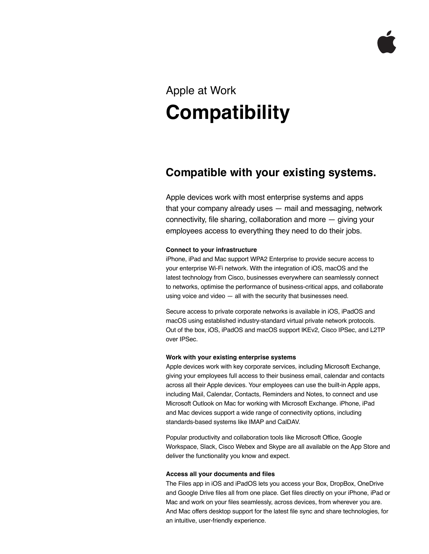# Apple at Work **Compatibility**

# **Compatible with your existing systems.**

Apple devices work with most enterprise systems and apps that your company already uses — mail and messaging, network connectivity, file sharing, collaboration and more — giving your employees access to everything they need to do their jobs.

# **Connect to your infrastructure**

iPhone, iPad and Mac support WPA2 Enterprise to provide secure access to your enterprise Wi-Fi network. With the integration of iOS, macOS and the latest technology from Cisco, businesses everywhere can seamlessly connect to networks, optimise the performance of business-critical apps, and collaborate using voice and video — all with the security that businesses need.

Secure access to private corporate networks is available in iOS, iPadOS and macOS using established industry-standard virtual private network protocols. Out of the box, iOS, iPadOS and macOS support IKEv2, Cisco IPSec, and L2TP over IPSec.

## **Work with your existing enterprise systems**

Apple devices work with key corporate services, including Microsoft Exchange, giving your employees full access to their business email, calendar and contacts across all their Apple devices. Your employees can use the built-in Apple apps, including Mail, Calendar, Contacts, Reminders and Notes, to connect and use Microsoft Outlook on Mac for working with Microsoft Exchange. iPhone, iPad and Mac devices support a wide range of connectivity options, including standards-based systems like IMAP and CalDAV.

Popular productivity and collaboration tools like Microsoft Office, Google Workspace, Slack, Cisco Webex and Skype are all available on the App Store and deliver the functionality you know and expect.

### **Access all your documents and files**

The Files app in iOS and iPadOS lets you access your Box, DropBox, OneDrive and Google Drive files all from one place. Get files directly on your iPhone, iPad or Mac and work on your files seamlessly, across devices, from wherever you are. And Mac offers desktop support for the latest file sync and share technologies, for an intuitive, user-friendly experience.